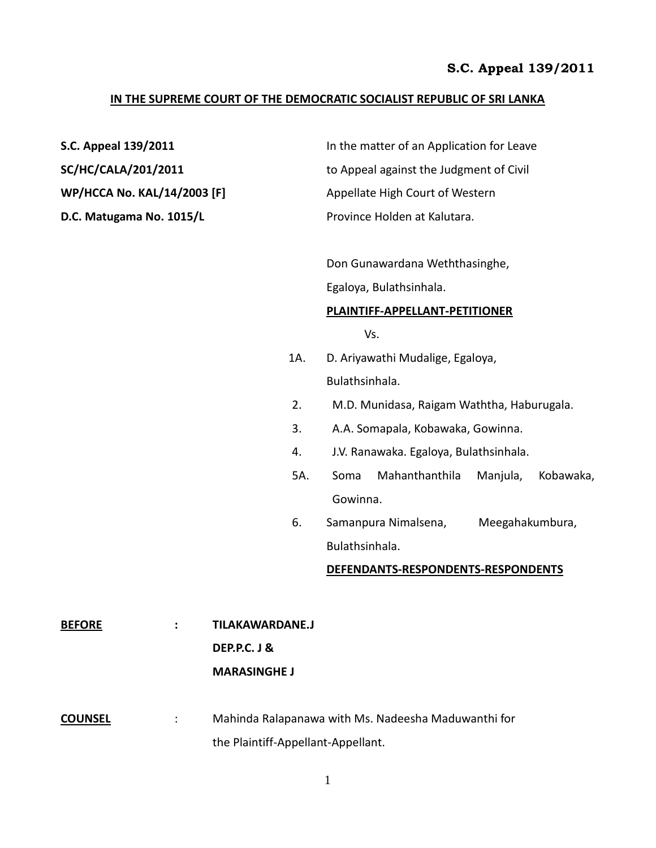### **IN THE SUPREME COURT OF THE DEMOCRATIC SOCIALIST REPUBLIC OF SRI LANKA**

| S.C. Appeal 139/2011               | In the matter of an Application for Leave |
|------------------------------------|-------------------------------------------|
| <b>SC/HC/CALA/201/2011</b>         | to Appeal against the Judgment of Civil   |
| <b>WP/HCCA No. KAL/14/2003 [F]</b> | Appellate High Court of Western           |
| D.C. Matugama No. 1015/L           | Province Holden at Kalutara.              |
|                                    |                                           |

Don Gunawardana Weththasinghe,

Egaloya, Bulathsinhala.

#### **PLAINTIFF-APPELLANT-PETITIONER**

Vs.

- 1A. D. Ariyawathi Mudalige, Egaloya, Bulathsinhala.
- 2. M.D. Munidasa, Raigam Waththa, Haburugala.
- 3. A.A. Somapala, Kobawaka, Gowinna.
- 4. J.V. Ranawaka. Egaloya, Bulathsinhala.
- 5A. Soma Mahanthanthila Manjula, Kobawaka, Gowinna.
- 6. Samanpura Nimalsena, Meegahakumbura, Bulathsinhala.

#### **DEFENDANTS-RESPONDENTS-RESPONDENTS**

- **BEFORE : TILAKAWARDANE.J DEP.P.C. J & MARASINGHE J**
- **COUNSEL** : Mahinda Ralapanawa with Ms. Nadeesha Maduwanthi for the Plaintiff-Appellant-Appellant.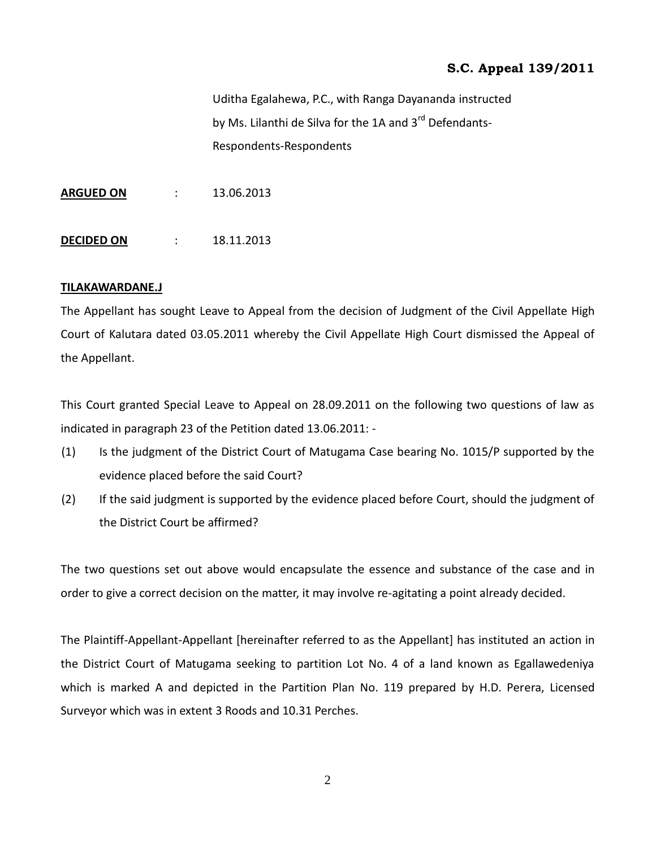Uditha Egalahewa, P.C., with Ranga Dayananda instructed by Ms. Lilanthi de Silva for the 1A and 3<sup>rd</sup> Defendants-Respondents-Respondents

**ARGUED ON** : 13.06.2013

**DECIDED ON : 18.11.2013** 

## **TILAKAWARDANE.J**

The Appellant has sought Leave to Appeal from the decision of Judgment of the Civil Appellate High Court of Kalutara dated 03.05.2011 whereby the Civil Appellate High Court dismissed the Appeal of the Appellant.

This Court granted Special Leave to Appeal on 28.09.2011 on the following two questions of law as indicated in paragraph 23 of the Petition dated 13.06.2011: -

- (1) Is the judgment of the District Court of Matugama Case bearing No. 1015/P supported by the evidence placed before the said Court?
- (2) If the said judgment is supported by the evidence placed before Court, should the judgment of the District Court be affirmed?

The two questions set out above would encapsulate the essence and substance of the case and in order to give a correct decision on the matter, it may involve re-agitating a point already decided.

The Plaintiff-Appellant-Appellant [hereinafter referred to as the Appellant] has instituted an action in the District Court of Matugama seeking to partition Lot No. 4 of a land known as Egallawedeniya which is marked A and depicted in the Partition Plan No. 119 prepared by H.D. Perera, Licensed Surveyor which was in extent 3 Roods and 10.31 Perches.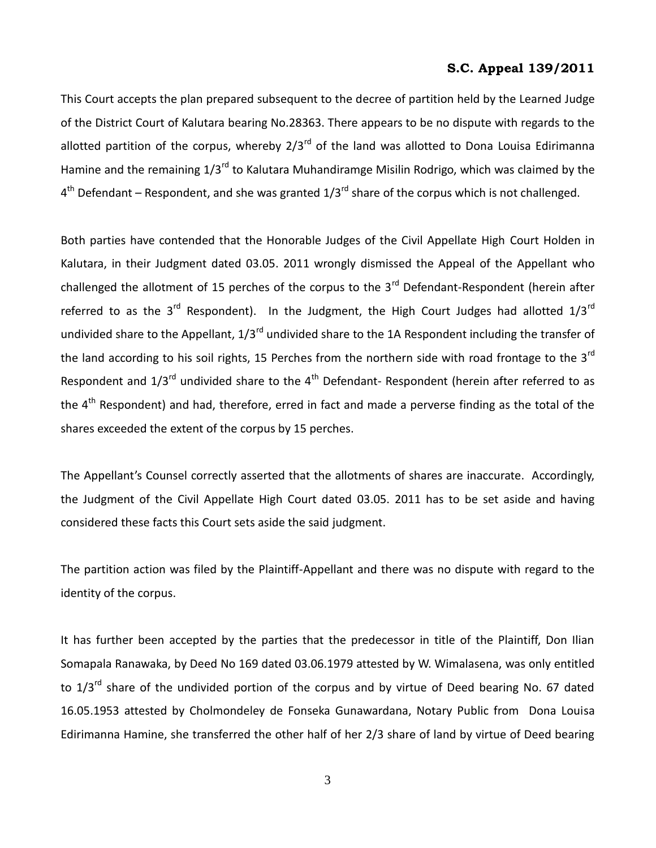This Court accepts the plan prepared subsequent to the decree of partition held by the Learned Judge of the District Court of Kalutara bearing No.28363. There appears to be no dispute with regards to the allotted partition of the corpus, whereby  $2/3^{rd}$  of the land was allotted to Dona Louisa Edirimanna Hamine and the remaining  $1/3^{rd}$  to Kalutara Muhandiramge Misilin Rodrigo, which was claimed by the 4<sup>th</sup> Defendant – Respondent, and she was granted 1/3<sup>rd</sup> share of the corpus which is not challenged.

Both parties have contended that the Honorable Judges of the Civil Appellate High Court Holden in Kalutara, in their Judgment dated 03.05. 2011 wrongly dismissed the Appeal of the Appellant who challenged the allotment of 15 perches of the corpus to the  $3<sup>rd</sup>$  Defendant-Respondent (herein after referred to as the 3<sup>rd</sup> Respondent). In the Judgment, the High Court Judges had allotted  $1/3^{rd}$ undivided share to the Appellant,  $1/3^{rd}$  undivided share to the 1A Respondent including the transfer of the land according to his soil rights, 15 Perches from the northern side with road frontage to the  $3^{rd}$ Respondent and  $1/3^{rd}$  undivided share to the 4<sup>th</sup> Defendant- Respondent (herein after referred to as the 4<sup>th</sup> Respondent) and had, therefore, erred in fact and made a perverse finding as the total of the shares exceeded the extent of the corpus by 15 perches.

The Appellant's Counsel correctly asserted that the allotments of shares are inaccurate. Accordingly, the Judgment of the Civil Appellate High Court dated 03.05. 2011 has to be set aside and having considered these facts this Court sets aside the said judgment.

The partition action was filed by the Plaintiff-Appellant and there was no dispute with regard to the identity of the corpus.

It has further been accepted by the parties that the predecessor in title of the Plaintiff, Don Ilian Somapala Ranawaka, by Deed No 169 dated 03.06.1979 attested by W. Wimalasena, was only entitled to 1/3<sup>rd</sup> share of the undivided portion of the corpus and by virtue of Deed bearing No. 67 dated 16.05.1953 attested by Cholmondeley de Fonseka Gunawardana, Notary Public from Dona Louisa Edirimanna Hamine, she transferred the other half of her 2/3 share of land by virtue of Deed bearing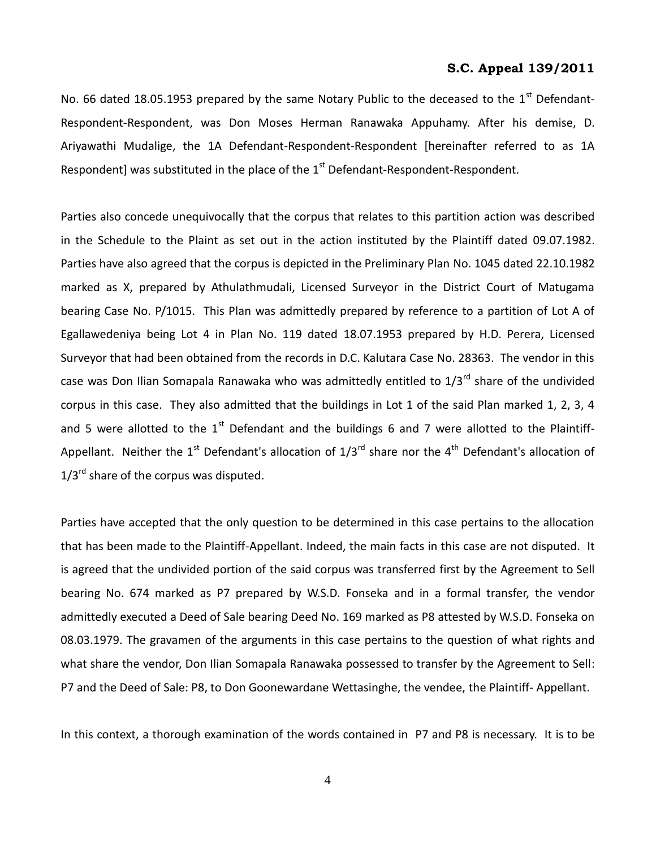No. 66 dated 18.05.1953 prepared by the same Notary Public to the deceased to the 1<sup>st</sup> Defendant-Respondent-Respondent, was Don Moses Herman Ranawaka Appuhamy. After his demise, D. Ariyawathi Mudalige, the 1A Defendant-Respondent-Respondent [hereinafter referred to as 1A Respondent] was substituted in the place of the  $1<sup>st</sup>$  Defendant-Respondent-Respondent.

Parties also concede unequivocally that the corpus that relates to this partition action was described in the Schedule to the Plaint as set out in the action instituted by the Plaintiff dated 09.07.1982. Parties have also agreed that the corpus is depicted in the Preliminary Plan No. 1045 dated 22.10.1982 marked as X, prepared by Athulathmudali, Licensed Surveyor in the District Court of Matugama bearing Case No. P/1015. This Plan was admittedly prepared by reference to a partition of Lot A of Egallawedeniya being Lot 4 in Plan No. 119 dated 18.07.1953 prepared by H.D. Perera, Licensed Surveyor that had been obtained from the records in D.C. Kalutara Case No. 28363. The vendor in this case was Don Ilian Somapala Ranawaka who was admittedly entitled to  $1/3^{rd}$  share of the undivided corpus in this case. They also admitted that the buildings in Lot 1 of the said Plan marked 1, 2, 3, 4 and 5 were allotted to the  $1<sup>st</sup>$  Defendant and the buildings 6 and 7 were allotted to the Plaintiff-Appellant. Neither the 1<sup>st</sup> Defendant's allocation of  $1/3^{rd}$  share nor the 4<sup>th</sup> Defendant's allocation of  $1/3^{rd}$  share of the corpus was disputed.

Parties have accepted that the only question to be determined in this case pertains to the allocation that has been made to the Plaintiff-Appellant. Indeed, the main facts in this case are not disputed. It is agreed that the undivided portion of the said corpus was transferred first by the Agreement to Sell bearing No. 674 marked as P7 prepared by W.S.D. Fonseka and in a formal transfer, the vendor admittedly executed a Deed of Sale bearing Deed No. 169 marked as P8 attested by W.S.D. Fonseka on 08.03.1979. The gravamen of the arguments in this case pertains to the question of what rights and what share the vendor, Don Ilian Somapala Ranawaka possessed to transfer by the Agreement to Sell: P7 and the Deed of Sale: P8, to Don Goonewardane Wettasinghe, the vendee, the Plaintiff- Appellant.

In this context, a thorough examination of the words contained in P7 and P8 is necessary. It is to be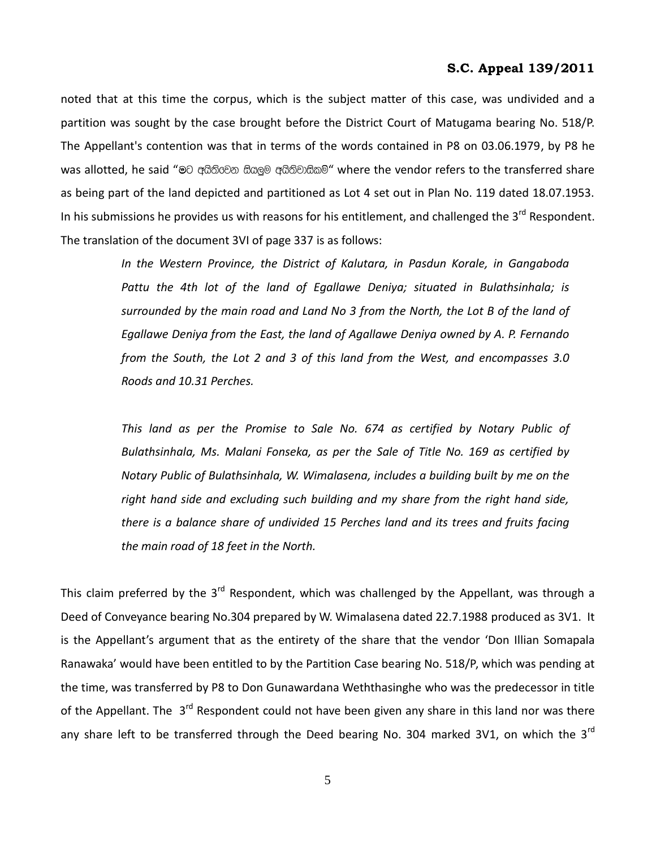noted that at this time the corpus, which is the subject matter of this case, was undivided and a partition was sought by the case brought before the District Court of Matugama bearing No. 518/P. The Appellant's contention was that in terms of the words contained in P8 on 03.06.1979, by P8 he was allotted, he said "මට අයිතිවෙන සියලුම අයිතිවාසිකම්" where the vendor refers to the transferred share as being part of the land depicted and partitioned as Lot 4 set out in Plan No. 119 dated 18.07.1953. In his submissions he provides us with reasons for his entitlement, and challenged the  $3<sup>rd</sup>$  Respondent. The translation of the document 3VI of page 337 is as follows:

> *In the Western Province, the District of Kalutara, in Pasdun Korale, in Gangaboda Pattu the 4th lot of the land of Egallawe Deniya; situated in Bulathsinhala; is surrounded by the main road and Land No 3 from the North, the Lot B of the land of Egallawe Deniya from the East, the land of Agallawe Deniya owned by A. P. Fernando from the South, the Lot 2 and 3 of this land from the West, and encompasses 3.0 Roods and 10.31 Perches.*

> *This land as per the Promise to Sale No. 674 as certified by Notary Public of Bulathsinhala, Ms. Malani Fonseka, as per the Sale of Title No. 169 as certified by Notary Public of Bulathsinhala, W. Wimalasena, includes a building built by me on the right hand side and excluding such building and my share from the right hand side, there is a balance share of undivided 15 Perches land and its trees and fruits facing the main road of 18 feet in the North.*

This claim preferred by the  $3<sup>rd</sup>$  Respondent, which was challenged by the Appellant, was through a Deed of Conveyance bearing No.304 prepared by W. Wimalasena dated 22.7.1988 produced as 3V1. It is the Appellant's argument that as the entirety of the share that the vendor 'Don Illian Somapala Ranawaka' would have been entitled to by the Partition Case bearing No. 518/P, which was pending at the time, was transferred by P8 to Don Gunawardana Weththasinghe who was the predecessor in title of the Appellant. The 3<sup>rd</sup> Respondent could not have been given any share in this land nor was there any share left to be transferred through the Deed bearing No. 304 marked 3V1, on which the  $3<sup>rd</sup>$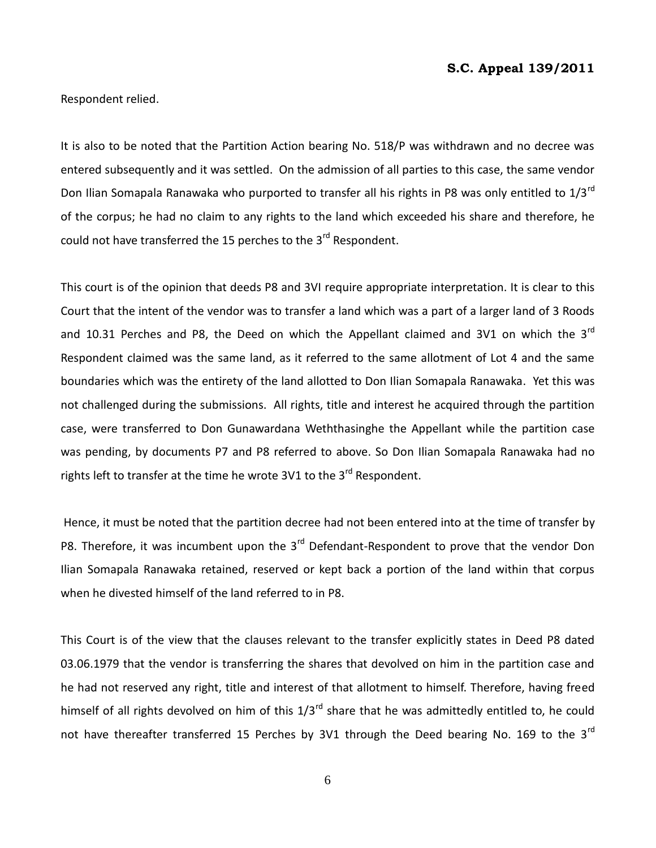Respondent relied.

It is also to be noted that the Partition Action bearing No. 518/P was withdrawn and no decree was entered subsequently and it was settled. On the admission of all parties to this case, the same vendor Don Ilian Somapala Ranawaka who purported to transfer all his rights in P8 was only entitled to 1/3<sup>rd</sup> of the corpus; he had no claim to any rights to the land which exceeded his share and therefore, he could not have transferred the 15 perches to the 3<sup>rd</sup> Respondent.

This court is of the opinion that deeds P8 and 3VI require appropriate interpretation. It is clear to this Court that the intent of the vendor was to transfer a land which was a part of a larger land of 3 Roods and 10.31 Perches and P8, the Deed on which the Appellant claimed and 3V1 on which the  $3^{rd}$ Respondent claimed was the same land, as it referred to the same allotment of Lot 4 and the same boundaries which was the entirety of the land allotted to Don Ilian Somapala Ranawaka. Yet this was not challenged during the submissions. All rights, title and interest he acquired through the partition case, were transferred to Don Gunawardana Weththasinghe the Appellant while the partition case was pending, by documents P7 and P8 referred to above. So Don Ilian Somapala Ranawaka had no rights left to transfer at the time he wrote 3V1 to the  $3<sup>rd</sup>$  Respondent.

Hence, it must be noted that the partition decree had not been entered into at the time of transfer by P8. Therefore, it was incumbent upon the 3<sup>rd</sup> Defendant-Respondent to prove that the vendor Don Ilian Somapala Ranawaka retained, reserved or kept back a portion of the land within that corpus when he divested himself of the land referred to in P8.

This Court is of the view that the clauses relevant to the transfer explicitly states in Deed P8 dated 03.06.1979 that the vendor is transferring the shares that devolved on him in the partition case and he had not reserved any right, title and interest of that allotment to himself. Therefore, having freed himself of all rights devolved on him of this 1/3<sup>rd</sup> share that he was admittedly entitled to, he could not have thereafter transferred 15 Perches by 3V1 through the Deed bearing No. 169 to the 3<sup>rd</sup>

6